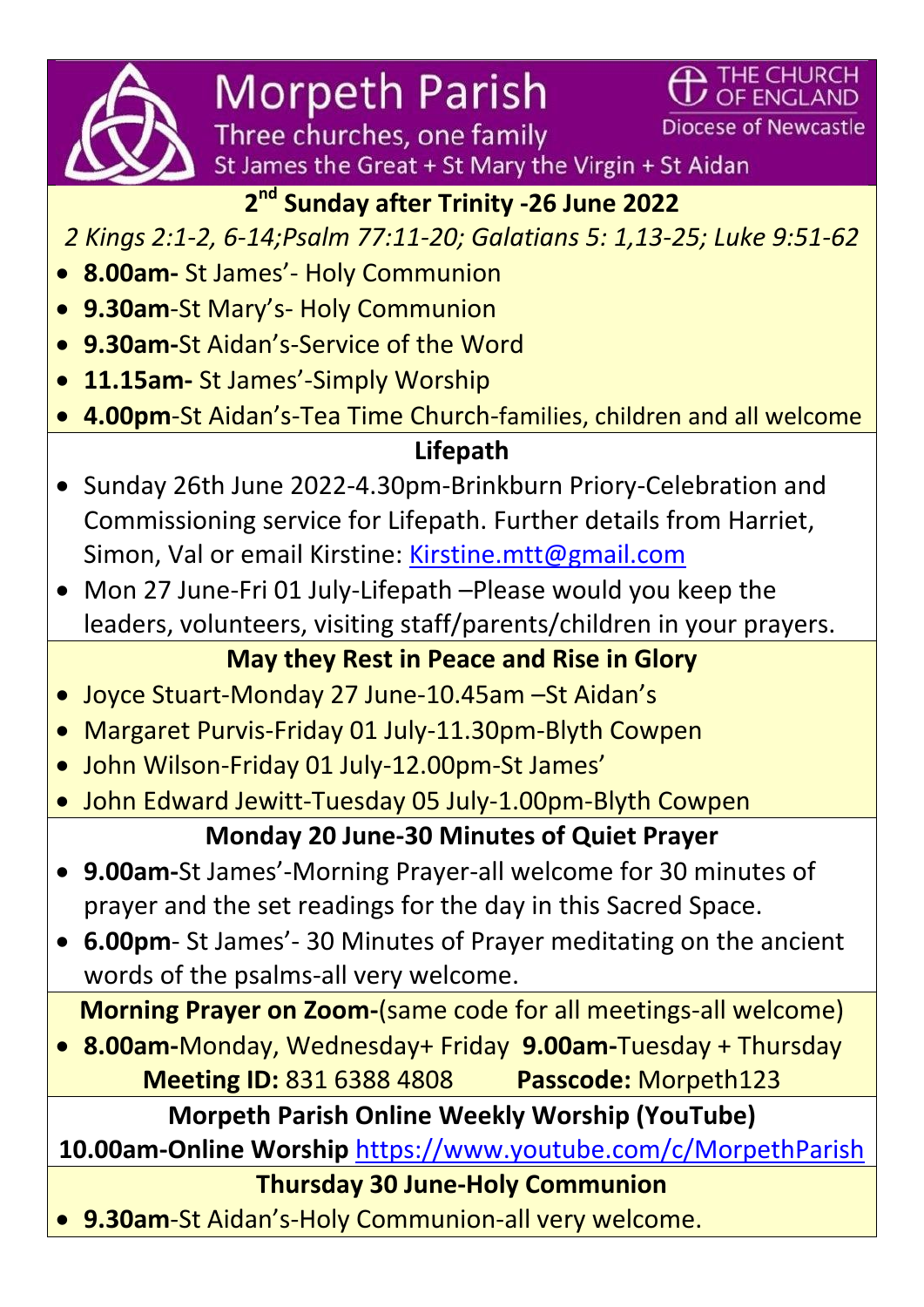

**Morpeth Parish** 

Three churches, one family St James the Great + St Mary the Virgin + St Aidan

**Diocese of Newcastle** 

 $\mathbf{\Delta}$  THE CHURCH UZ OF ENGLAND

# **2 nd Sunday after Trinity -26 June 2022**

*2 Kings 2:1-2, 6-14;Psalm 77:11-20; Galatians 5: 1,13-25; Luke 9:51-62*

- **8.00am-** St James'- Holy Communion
- **9.30am**-St Mary's- Holy Communion
- **9.30am-**St Aidan's-Service of the Word
- **11.15am-** St James'-Simply Worship
- **4.00pm**-St Aidan's-Tea Time Church-families, children and all welcome

#### **Lifepath**

- Sunday 26th June 2022-4.30pm-Brinkburn Priory-Celebration and Commissioning service for Lifepath. Further details from Harriet, Simon, Val or email Kirstine: [Kirstine.mtt@gmail.com](file:///C:/Users/Paul%20Rusby/Desktop/Morpeth%20News/Kirstine.mtt@gmail.com)
- Mon 27 June-Fri 01 July-Lifepath –Please would you keep the leaders, volunteers, visiting staff/parents/children in your prayers.

# **May they Rest in Peace and Rise in Glory**

- Joyce Stuart-Monday 27 June-10.45am –St Aidan's
- Margaret Purvis-Friday 01 July-11.30pm-Blyth Cowpen
- John Wilson-Friday 01 July-12.00pm-St James'
- John Edward Jewitt-Tuesday 05 July-1.00pm-Blyth Cowpen

### **Monday 20 June-30 Minutes of Quiet Prayer**

- **9.00am-**St James'-Morning Prayer-all welcome for 30 minutes of prayer and the set readings for the day in this Sacred Space.
- **6.00pm** St James'- 30 Minutes of Prayer meditating on the ancient words of the psalms-all very welcome.

**Morning Prayer on Zoom-**(same code for all meetings-all welcome)

 **8.00am-**Monday, Wednesday+ Friday **9.00am-**Tuesday + Thursday **Meeting ID:** 831 6388 4808 **Passcode:** Morpeth123

**Morpeth Parish Online Weekly Worship (YouTube)**

**10.00am-Online Worship** <https://www.youtube.com/c/MorpethParish>

**Thursday 30 June-Holy Communion** 

**9.30am**-St Aidan's-Holy Communion-all very welcome.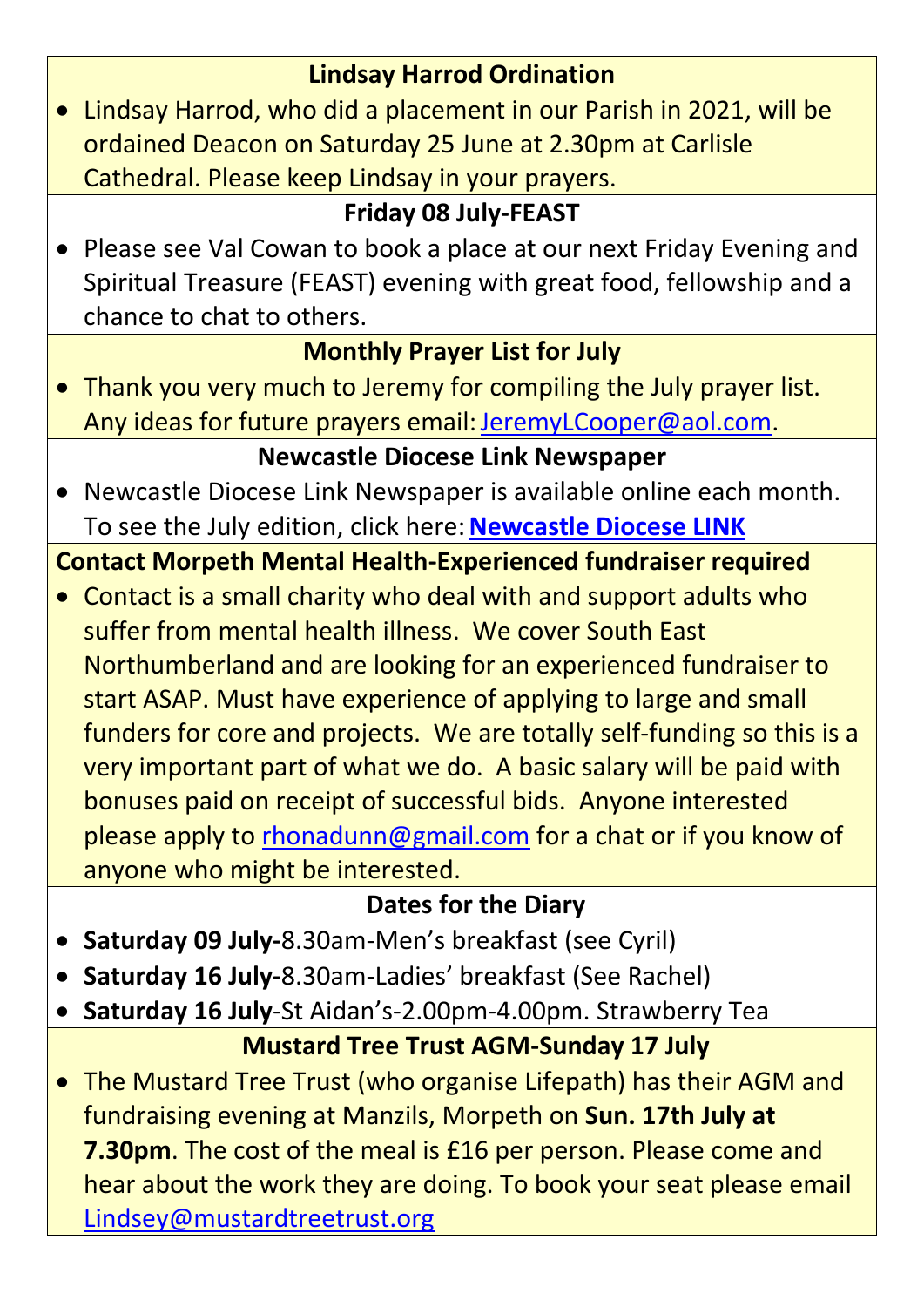#### **Lindsay Harrod Ordination**

 Lindsay Harrod, who did a placement in our Parish in 2021, will be ordained Deacon on Saturday 25 June at 2.30pm at Carlisle Cathedral. Please keep Lindsay in your prayers.

# **Friday 08 July-FEAST**

 Please see Val Cowan to book a place at our next Friday Evening and Spiritual Treasure (FEAST) evening with great food, fellowship and a chance to chat to others.

# **Monthly Prayer List for July**

Thank you very much to Jeremy for compiling the July prayer list. Any ideas for future prayers email: [JeremyLCooper@aol.com.](mailto:JeremyLCooper@aol.com)

# **Newcastle Diocese Link Newspaper**

 Newcastle Diocese Link Newspaper is available online each month. To see the July edition, click here:**[Newcastle Diocese LINK](https://d3hgrlq6yacptf.cloudfront.net/5fbc2ba5a8086/content/pages/documents/link-july-2022-final.pdf)**

# **Contact Morpeth Mental Health-Experienced fundraiser required**

 Contact is a small charity who deal with and support adults who suffer from mental health illness. We cover South East Northumberland and are looking for an experienced fundraiser to start ASAP. Must have experience of applying to large and small funders for core and projects. We are totally self-funding so this is a very important part of what we do. A basic salary will be paid with bonuses paid on receipt of successful bids. Anyone interested please apply to [rhonadunn@gmail.com](mailto:rhonadunn@gmail.com) for a chat or if you know of anyone who might be interested.

### **Dates for the Diary**

- **Saturday 09 July-**8.30am-Men's breakfast (see Cyril)
- **Saturday 16 July-**8.30am-Ladies' breakfast (See Rachel)
- **Saturday 16 July**-St Aidan's-2.00pm-4.00pm. Strawberry Tea

### **Mustard Tree Trust AGM-Sunday 17 July**

 The Mustard Tree Trust (who organise Lifepath) has their AGM and fundraising evening at Manzils, Morpeth on **Sun. 17th July at 7.30pm**. The cost of the meal is £16 per person. Please come and hear about the work they are doing. To book your seat please email [Lindsey@mustardtreetrust.org](file:///C:/Users/Paul%20Rusby/Desktop/Morpeth%20News/Lindsey@mustardtreetrust.org)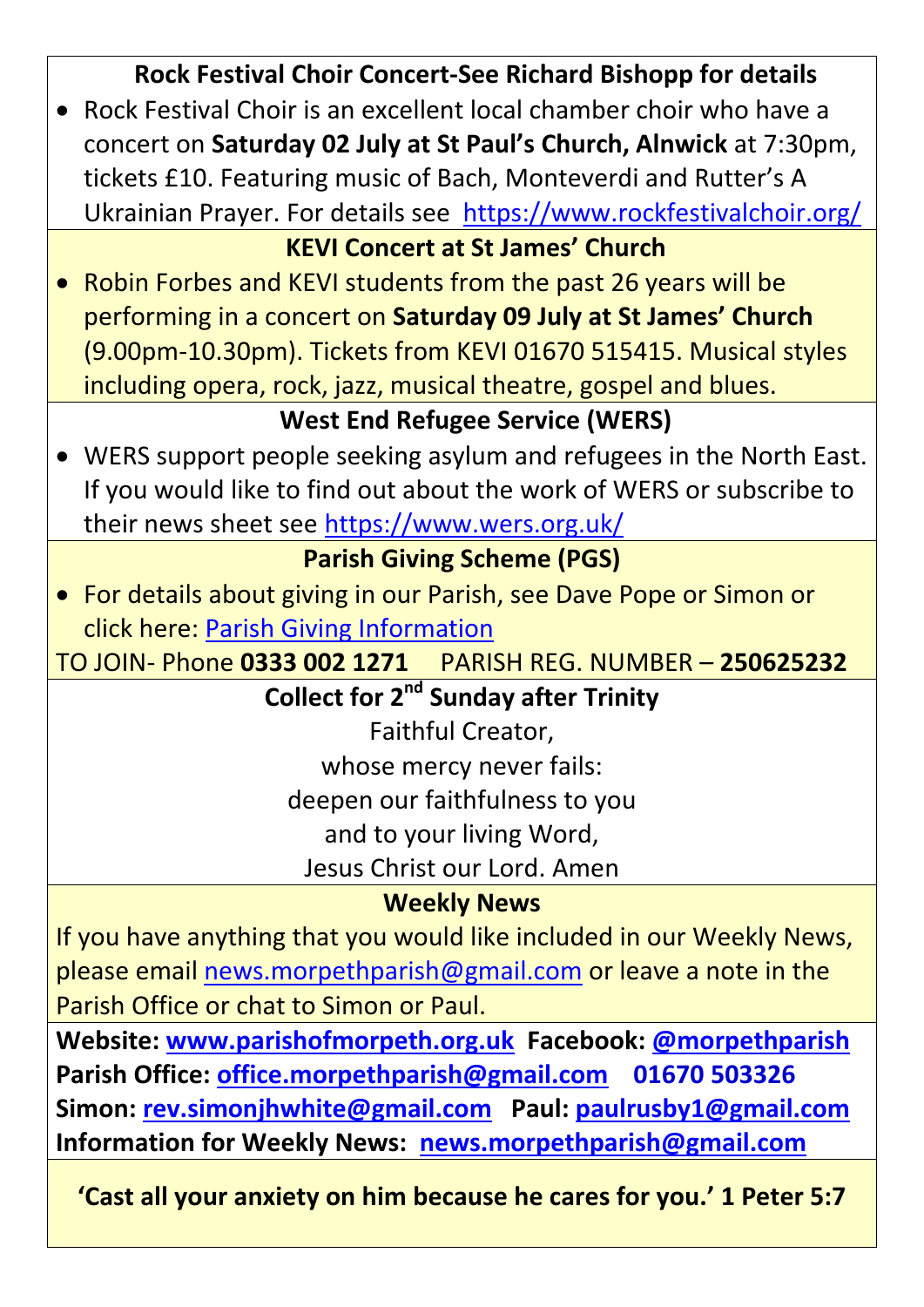| <b>Rock Festival Choir Concert-See Richard Bishopp for details</b>    |
|-----------------------------------------------------------------------|
| • Rock Festival Choir is an excellent local chamber choir who have a  |
| concert on Saturday 02 July at St Paul's Church, Alnwick at 7:30pm,   |
| tickets £10. Featuring music of Bach, Monteverdi and Rutter's A       |
| Ukrainian Prayer. For details see https://www.rockfestivalchoir.org/  |
| <b>KEVI Concert at St James' Church</b>                               |
| • Robin Forbes and KEVI students from the past 26 years will be       |
| performing in a concert on Saturday 09 July at St James' Church       |
| (9.00pm-10.30pm). Tickets from KEVI 01670 515415. Musical styles      |
| including opera, rock, jazz, musical theatre, gospel and blues.       |
| <b>West End Refugee Service (WERS)</b>                                |
| • WERS support people seeking asylum and refugees in the North East.  |
| If you would like to find out about the work of WERS or subscribe to  |
| their news sheet see https://www.wers.org.uk/                         |
| <b>Parish Giving Scheme (PGS)</b>                                     |
| • For details about giving in our Parish, see Dave Pope or Simon or   |
| click here: Parish Giving Information                                 |
| PARISH REG. NUMBER - 250625232<br>TO JOIN- Phone 0333 002 1271        |
| <b>Collect for 2<sup>nd</sup> Sunday after Trinity</b>                |
| Faithful Creator,                                                     |
| whose mercy never fails:                                              |
| deepen our faithfulness to you                                        |
| and to your living Word,                                              |
| Jesus Christ our Lord. Amen                                           |
| <b>Weekly News</b>                                                    |
| If you have anything that you would like included in our Weekly News, |
| please email news.morpethparish@gmail.com or leave a note in the      |
| Parish Office or chat to Simon or Paul.                               |
| Website: www.parishofmorpeth.org.uk Facebook: @morpethparish          |
| Parish Office: office.morpethparish@gmail.com 01670 503326            |
| Simon: rev.simonjhwhite@gmail.com Paul: paulrusby1@gmail.com          |
| Information for Weekly News: news.morpethparish@gmail.com             |

**'Cast all your anxiety on him because he cares for you.' 1 Peter 5:7**